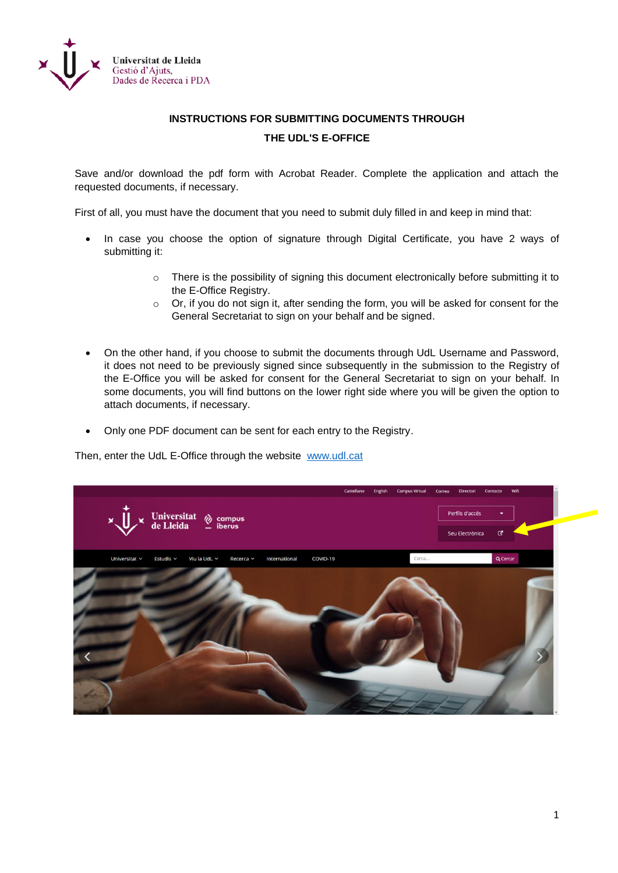

## **INSTRUCTIONS FOR SUBMITTING DOCUMENTS THROUGH THE UDL'S E-OFFICE**

Save and/or download the pdf form with Acrobat Reader. Complete the application and attach the requested documents, if necessary.

First of all, you must have the document that you need to submit duly filled in and keep in mind that:

- In case you choose the option of signature through Digital Certificate, you have 2 ways of submitting it:
	- o There is the possibility of signing this document electronically before submitting it to the E-Office Registry.
	- o Or, if you do not sign it, after sending the form, you will be asked for consent for the General Secretariat to sign on your behalf and be signed.
- On the other hand, if you choose to submit the documents through UdL Username and Password, it does not need to be previously signed since subsequently in the submission to the Registry of the E-Office you will be asked for consent for the General Secretariat to sign on your behalf. In some documents, you will find buttons on the lower right side where you will be given the option to attach documents, if necessary.
- Only one PDF document can be sent for each entry to the Registry.

Then, enter the UdL E-Office through the website [www.udl.cat](http://www.udl.cat/)

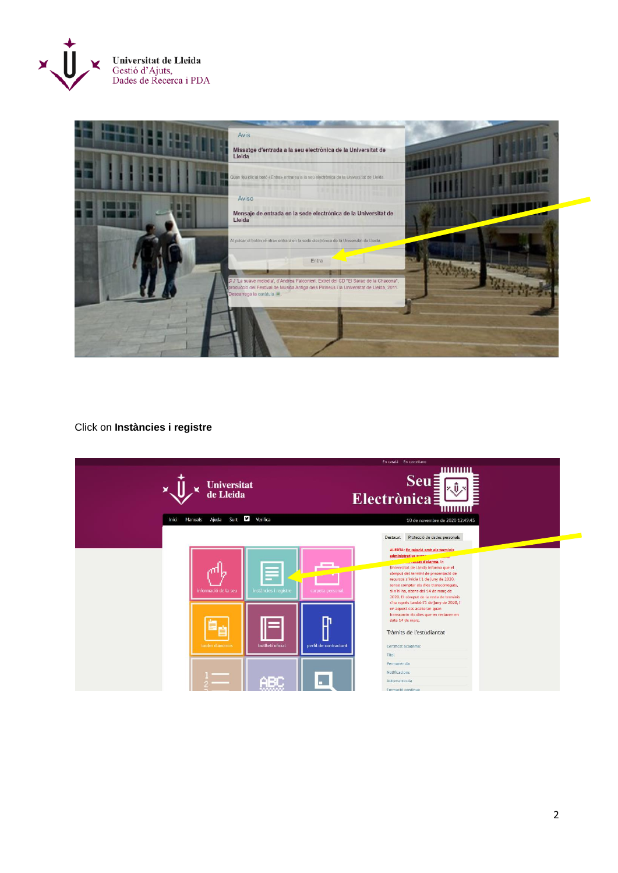



## Click on **Instàncies i registre**

|       |                                 |                                                | En català En castellano                                                                                                                                                                                                                                                                                                                 |
|-------|---------------------------------|------------------------------------------------|-----------------------------------------------------------------------------------------------------------------------------------------------------------------------------------------------------------------------------------------------------------------------------------------------------------------------------------------|
| ×     | <b>Universitat</b><br>de Lleida |                                                | <b>Seu</b><br>Electrònica:<br>www                                                                                                                                                                                                                                                                                                       |
| Inici | Ajuda Surt<br><b>Manuals</b>    | Verifica                                       | 10 de novembre de 2020 12:49:45                                                                                                                                                                                                                                                                                                         |
|       |                                 |                                                | Protecció de dades personals<br>Destacat<br>ALERTA: En relació amb els terminis                                                                                                                                                                                                                                                         |
|       | informació de la seu            | instàncies i registre<br>carpeta personal      | administratius sueman<br>d'alarma, la<br>Universitat de Lleida informa que el<br>còmput del termini de presentació de<br>recursos s'inicia l'1 de juny de 2020,<br>sense comptar els dies transcorreguts,<br>si n'hi ha, abans del 14 de març de<br>2020. El còmput de la resta de terminis<br>s'ha reprès també l'1 de juny de 2020, i |
|       | tauter d'anuncis                | m<br>butlleti oficial<br>perfil de contractant | en aquest cas acabaran quan<br>transcorrin els dies que en restaven en<br>data 14 de març.<br>Tràmits de l'estudiantat<br>Certificat académic<br>Titol                                                                                                                                                                                  |
|       |                                 | <b>ABO</b>                                     | Permanència<br>Notificacions<br>Automatrícula<br>Formació contínua                                                                                                                                                                                                                                                                      |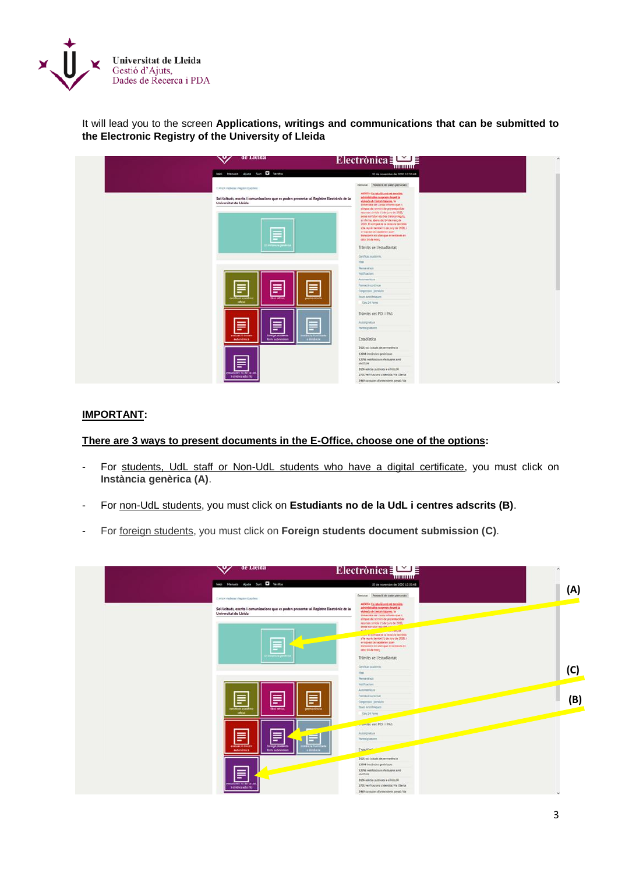

It will lead you to the screen **Applications, writings and communications that can be submitted to the Electronic Registry of the University of Lleida**

| ∾∕<br>ae Lieraa                                                                                                                                                                                          | Electrònica $\Box$<br><b>THURSET</b>                                                                                                                                                                                                                                                                                                                                                                                                                                                                                                                                                                                                            |
|----------------------------------------------------------------------------------------------------------------------------------------------------------------------------------------------------------|-------------------------------------------------------------------------------------------------------------------------------------------------------------------------------------------------------------------------------------------------------------------------------------------------------------------------------------------------------------------------------------------------------------------------------------------------------------------------------------------------------------------------------------------------------------------------------------------------------------------------------------------------|
| Inici Hanuata Ajuda Surt 1 Ventice                                                                                                                                                                       | 10 de novembre de 2020 12:50:48                                                                                                                                                                                                                                                                                                                                                                                                                                                                                                                                                                                                                 |
| CLINICA Interference Inspirer Executives                                                                                                                                                                 | Destacat Protectió de dades personals<br>ALEXIA: Ex relação amb els terminis-                                                                                                                                                                                                                                                                                                                                                                                                                                                                                                                                                                   |
| Sol Ucituds, escrits i comunicacions que es poden presentar al Registre Electrònic de la<br>Universitat de Lleida<br>E<br>colonia gene<br>畐<br>≣<br>Ξ<br>steel official.<br>permanència<br>volket araska | administration suspenses showed to<br>vighela de testar d'alarma, le<br>Linkenster de Lizabi informa que el<br>climput del termini de presentació de<br>recurses shrikle 11 de juny de 2020.<br>sene complar els ales transcerepita.<br>ar reful ha, adams del 14 de març de<br>2020. El comput de la resta de terminis.<br>s ha nents també 21 de juny de 2020, i<br>en aquest ces acataren zuan<br>financiamente ela dues que en certainen en<br>data 14 de març<br>Trâmits de l'estudiantat<br>Certificat académia:<br>That.<br><b>Permanithold</b><br>Nathades<br>Asteronica<br>Farmació continua<br>Сочрезно Цельбег.<br>Toiet sculiniques |
| oficial                                                                                                                                                                                                  | Casc24 hores<br>Trāmits del PDI i PAS                                                                                                                                                                                                                                                                                                                                                                                                                                                                                                                                                                                                           |
| ≣<br>≣<br>≣<br>evriusció docent<br><b>foreign students</b><br><b>Larriche Evadyustant</b><br>a models<br>autonomica<br><b>Room buildrainsign</b>                                                         | Autologiatora<br>Fortesignmann<br>Estadística                                                                                                                                                                                                                                                                                                                                                                                                                                                                                                                                                                                                   |
|                                                                                                                                                                                                          | 2020 set bullads de permanència<br>12098 instincts prohipper<br>12786 nonticedara electuales and<br>eNOTIJN                                                                                                                                                                                                                                                                                                                                                                                                                                                                                                                                     |
| E<br>mediamen min der Lis List<br>Tomorradorios                                                                                                                                                          | 3136 esicies publicats a aTMJLER<br>2731 verificacions d'identitat via Oberta<br>aV clares crescoperate milianco 9945                                                                                                                                                                                                                                                                                                                                                                                                                                                                                                                           |

## **IMPORTANT:**

**There are 3 ways to present documents in the E-Office, choose one of the options:**

- For students, UdL staff or Non-UdL students who have a digital certificate, you must click on **Instància genèrica (A)**.
- For non-UdL students, you must click on **Estudiants no de la UdL i centres adscrits (B)**.
- For foreign students, you must click on **Foreign students document submission (C)**.

| <b>de Lieida</b><br>ື                                                                                               | $\text{Electrònica}$                                                                                                                                                                |     |
|---------------------------------------------------------------------------------------------------------------------|-------------------------------------------------------------------------------------------------------------------------------------------------------------------------------------|-----|
| Inici Henuxia Ajude Surt 1 Ventice                                                                                  | 10 de novembre de 2020 12:53:48                                                                                                                                                     |     |
| Consider interpretation of the problem of                                                                           | Destacat Protecció de dades personals                                                                                                                                               | (A) |
| Sol·licituds, escrits i comunicacions que es poden presentar al Registre Electrònic de la<br>Universitat de Lleida  | ALCOHOL CALINDARY AND ADDRESS<br>administration numerous durant to<br>vighela de l'estat d'alarma, la<br>Linkerstol de Lizab informa que el<br>comput del termini de preventació de |     |
|                                                                                                                     | recurses s'inicia 11 de Juny de 2020.<br>sense comptar els alles him<br><b>ALANDAR</b><br><b>CONTRACTOR</b><br>s his monito també 21 de juny de 2020, i                             |     |
| ⋿                                                                                                                   | virus relations accepted.<br>transportation alles que en centaires en<br>data 14 de març :                                                                                          |     |
| <b>Stationary</b>                                                                                                   | Trāmits de l'estudiantat                                                                                                                                                            |     |
|                                                                                                                     | Certificat académia.<br>that.                                                                                                                                                       | (C) |
|                                                                                                                     | <b>Permanistralia</b>                                                                                                                                                               |     |
|                                                                                                                     | <b>Natificacioni</b>                                                                                                                                                                |     |
|                                                                                                                     | Address Store                                                                                                                                                                       |     |
| ≣<br>巪<br>≣                                                                                                         | Farmació continua                                                                                                                                                                   |     |
|                                                                                                                     | Сопрятин Цегидет<br>Thier sculpries en                                                                                                                                              |     |
| Most acade<br><b>DETTRONOMIA</b><br>their official<br>oficial.                                                      | Cas 24 hores                                                                                                                                                                        |     |
|                                                                                                                     |                                                                                                                                                                                     |     |
|                                                                                                                     |                                                                                                                                                                                     |     |
|                                                                                                                     | Astropiatora                                                                                                                                                                        |     |
| Ħ<br>目                                                                                                              | <b>Fortesignmann</b>                                                                                                                                                                |     |
| evelueció docent<br><b>foreign students</b><br><b>HOSPETHER</b><br>a myster<br>autonómica<br><b>Rome butwhiston</b> | Estadioni-                                                                                                                                                                          |     |
|                                                                                                                     | 2525 set initiats de permenèncie                                                                                                                                                    |     |
|                                                                                                                     | 12098 inclindes peninsuon                                                                                                                                                           |     |
| ≣                                                                                                                   | X2786 natificazioni efectuales amb<br>encrease                                                                                                                                      |     |
|                                                                                                                     | 3536 edicios publicato a el MAZR                                                                                                                                                    |     |
| matianes no de la b<br>Tornors aducts.                                                                              | 2731 verificacions d'identitat via Oberta                                                                                                                                           |     |
|                                                                                                                     | 2409 consulters distributioners possibilities                                                                                                                                       |     |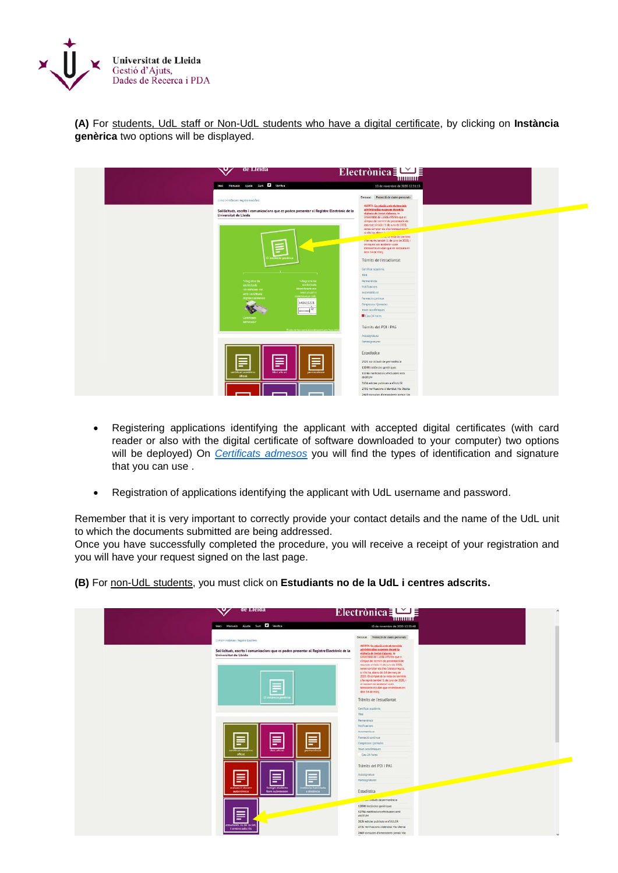

**(A)** For students, UdL staff or Non-UdL students who have a digital certificate, by clicking on **Instància genèrica** two options will be displayed.

| Inici Manuals Ajuda Surt <b>D</b> Verifica                                                                         | Electrònica $\frac{1}{2}$<br>10 de novembre de 2020 12:51:13                  |
|--------------------------------------------------------------------------------------------------------------------|-------------------------------------------------------------------------------|
|                                                                                                                    |                                                                               |
| D Inici > instâncies i Registre Electrônic                                                                         | Destacat Protecció de dades personals                                         |
|                                                                                                                    | ALERTA: En relació amb els terminis<br>administratius suspesos durant la      |
| Sol·licituds, escrits i comunicacions que es poden presentar al Registre Electrònic de la<br>Universitat de Lleida | vigència de l'estat d'alarma, la                                              |
|                                                                                                                    | Liniversitat de Lielda informa que el<br>còmput del termini de presentació de |
|                                                                                                                    | recursos s'inicia l'1 de juny de 2020.                                        |
|                                                                                                                    | sense comptar els dies transcorreguts.<br>si n'hi ha, abanc del 44            |
|                                                                                                                    | <b>Course resta de terminis</b>                                               |
|                                                                                                                    | a na représ també l'1 de juny de 2020, i<br>en aquest cas acabaran quan       |
|                                                                                                                    | transcontin els dies que en restauen en                                       |
|                                                                                                                    | data 14 de març                                                               |
|                                                                                                                    | Tràmits de l'estudiantat                                                      |
|                                                                                                                    | Certificat académic.                                                          |
| $\overline{\phantom{a}}$                                                                                           | Tital                                                                         |
| NRegistre de<br>NRegistre de                                                                                       | Permanéncia                                                                   |
| sol-beituds<br>sol-Boltuds<br>atentificant-me                                                                      | Notificacions                                                                 |
| identificant me<br>amb inusel L<br>amb pertificats                                                                 | Automatricula                                                                 |
| contrasenya uch.<br>digitals admesor                                                                               | Fermació continua                                                             |
| k43615221                                                                                                          | Congressos I jarnades                                                         |
| $\frac{1}{2}$                                                                                                      | Taxes acadèmiques                                                             |
| <b>Certificats</b>                                                                                                 | Clau 24 hores                                                                 |
| admesos/                                                                                                           | Tràmits del PDI i PAS                                                         |
| El color de fine carrea actividir anant un                                                                         |                                                                               |
|                                                                                                                    | Autosignatura                                                                 |
|                                                                                                                    | Portasignatures                                                               |
|                                                                                                                    | Estadística                                                                   |
| a<br>≣<br>言                                                                                                        | 2121 sol·licituds de permanència                                              |
|                                                                                                                    | 12098 instancies genériques                                                   |
| permanència<br>titol oficial<br>certificat académ<br>oficial                                                       | 12786 notificacions efectuades amb<br>eNOTUM                                  |
|                                                                                                                    | 3136 edictes publicats a eTAULER                                              |
|                                                                                                                    | 2731 verificacions d'identitat Via Oberta                                     |
|                                                                                                                    | 2469 consultes d'antecedents penals Via                                       |

- Registering applications identifying the applicant with accepted digital certificates (with card reader or also with the digital certificate of software downloaded to your computer) two options will be deployed) On *[Certificats admesos](https://seuelectronica.udl.cat/info1.php)* you will find the types of identification and signature that you can use .
- Registration of applications identifying the applicant with UdL username and password.

Remember that it is very important to correctly provide your contact details and the name of the UdL unit to which the documents submitted are being addressed.

Once you have successfully completed the procedure, you will receive a receipt of your registration and you will have your request signed on the last page.

**(B)** For non-UdL students, you must click on **Estudiants no de la UdL i centres adscrits.**

|                                                                                                                         | Electronica $\Box$<br><b>THILITILE</b>                                                                                                                                                                                                                                                                                                                                                                                                                          |
|-------------------------------------------------------------------------------------------------------------------------|-----------------------------------------------------------------------------------------------------------------------------------------------------------------------------------------------------------------------------------------------------------------------------------------------------------------------------------------------------------------------------------------------------------------------------------------------------------------|
| Inici Menuals Ajude Surt 1 Ventice                                                                                      | 10 de novembre de 2020 12:50:48                                                                                                                                                                                                                                                                                                                                                                                                                                 |
| CLINICA Interferomen Registral Executions:                                                                              | Destacat Protecció de dades personals<br>ALCOHOL: Constation and with terminals                                                                                                                                                                                                                                                                                                                                                                                 |
| Sol·licituds, escrits i comunicacions que es poden presentar al Registre Electrònic de la<br>Universitat de Lleida<br>F | administrative suspense shawnt to<br>vigheda de testat d'alarma, le<br>Linkenstol de Lizida informa que es<br>climput det termini de presentació de<br>recurses s'inicia 11 de juny de 2020.<br>senie contatur etc d'es transcimenta.<br>si rifisilia, abera del 54 de març de<br>2020. El comput de la resta de terminis.<br>s ha monts també E1 de juny de 2020, i<br>ship relation to thousand<br>transportation data que en certaines en<br>data 14 de març |
| colonia pro                                                                                                             | Trāmits de l'estudiantat                                                                                                                                                                                                                                                                                                                                                                                                                                        |
|                                                                                                                         | Certificat académia                                                                                                                                                                                                                                                                                                                                                                                                                                             |
|                                                                                                                         | that.                                                                                                                                                                                                                                                                                                                                                                                                                                                           |
|                                                                                                                         | Permenicial                                                                                                                                                                                                                                                                                                                                                                                                                                                     |
|                                                                                                                         | Nathaclass                                                                                                                                                                                                                                                                                                                                                                                                                                                      |
|                                                                                                                         | Advertising                                                                                                                                                                                                                                                                                                                                                                                                                                                     |
| 冒<br>Ē                                                                                                                  | Farmació continúe                                                                                                                                                                                                                                                                                                                                                                                                                                               |
| -                                                                                                                       | Сотротно гремата                                                                                                                                                                                                                                                                                                                                                                                                                                                |
| <b>ISBOX AGASER</b><br>their official.<br>permanéncia<br>oficial.                                                       | Thirt sculptigum                                                                                                                                                                                                                                                                                                                                                                                                                                                |
|                                                                                                                         | Cars 24 hores                                                                                                                                                                                                                                                                                                                                                                                                                                                   |
|                                                                                                                         | Trämits del PDI i PAS                                                                                                                                                                                                                                                                                                                                                                                                                                           |
|                                                                                                                         | <b>Autologistura</b>                                                                                                                                                                                                                                                                                                                                                                                                                                            |
| E<br>≣<br>-                                                                                                             | <b>Fortesignmann</b>                                                                                                                                                                                                                                                                                                                                                                                                                                            |
| evelues; i) docent<br><b>Strength students</b><br>a myster.<br>autonómica<br><b>Rooth buildrakesigns</b>                | Estadística                                                                                                                                                                                                                                                                                                                                                                                                                                                     |
|                                                                                                                         |                                                                                                                                                                                                                                                                                                                                                                                                                                                                 |
|                                                                                                                         | 12098 inclindes prohloves                                                                                                                                                                                                                                                                                                                                                                                                                                       |
| E                                                                                                                       | 12786 nonticedara efectuales and<br>enotial                                                                                                                                                                                                                                                                                                                                                                                                                     |
|                                                                                                                         | 3536 esicos publicato a eTAULER                                                                                                                                                                                                                                                                                                                                                                                                                                 |
| metteres no de la Lid<br>Terrors adults                                                                                 | 2731 verificacions d'identitat Via Oberta                                                                                                                                                                                                                                                                                                                                                                                                                       |
|                                                                                                                         | aV consulter d'attécolent possi Via                                                                                                                                                                                                                                                                                                                                                                                                                             |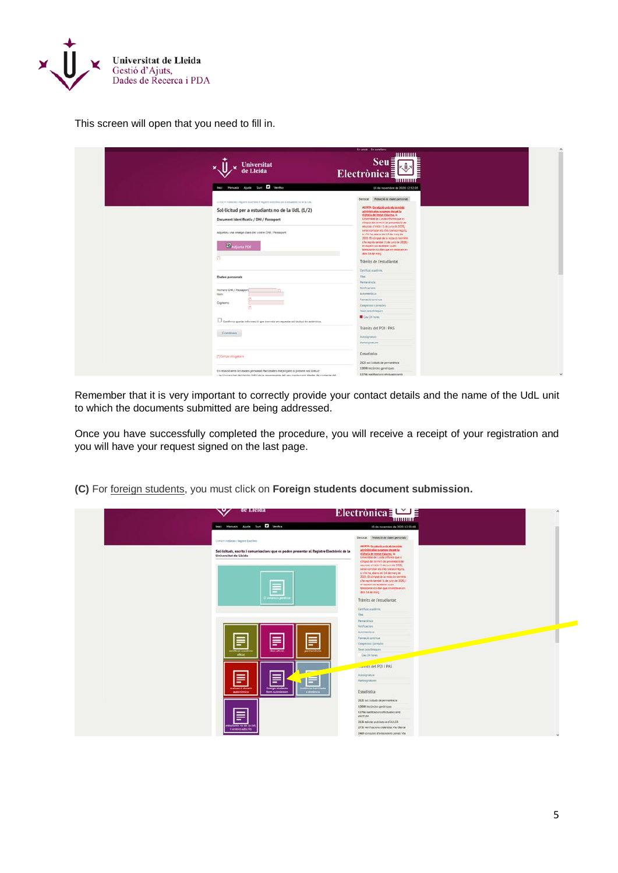

This screen will open that you need to fill in.

| <b>Universitat</b><br>Lleida                                                                                                                                                                                                                                                                                                 | <b>District Distriction</b><br>www<br>$Seu\bar{z}$<br>Electrònica≣<br>mmm                                                                                                                                                                                                                                                                                                                                                                                                                                                                                                                                             |  |
|------------------------------------------------------------------------------------------------------------------------------------------------------------------------------------------------------------------------------------------------------------------------------------------------------------------------------|-----------------------------------------------------------------------------------------------------------------------------------------------------------------------------------------------------------------------------------------------------------------------------------------------------------------------------------------------------------------------------------------------------------------------------------------------------------------------------------------------------------------------------------------------------------------------------------------------------------------------|--|
| Inici Menuici Ajuda Sunt 1 Ventice<br>() in it is realizations in the time block that the assessment pro it emidiately no mile to the<br>Sol·licitud per a estudiants no de la Udl. (1/2)<br>Document Identificatiu / DNI / Passaport<br>Adjunting una smatge class del visitre DNL/ Passagnitti<br><b>CANADIAN PDF</b><br>拁 | 10 de novembre de 3020 12:52:05<br>Dermost Protecció de divist personals<br>ALEXIA: En relatio and els terminis<br>administration numerous durant to<br>vightela de l'estat d'alarma, la<br>Liniversität de Linida informa que et<br>còmput del termini de presentació de<br>recurses stricks (1 de juny de 2020)<br>senie comptar ets dies blenscomeputs.<br>simila ha abara dei 14 de mais de<br>2020. El són qué de la resta de terminilia<br>s'ha représ també l'E de juny de 2020, i<br>en aguest cas acabaran quare.<br>MAPRONY In the digit guy an extraors are<br>data 54 de marc<br>Tràmits de l'estudiantat |  |
| <b>Dades personals</b>                                                                                                                                                                                                                                                                                                       | Detrical stadiotic<br>That.<br>Permeninsis                                                                                                                                                                                                                                                                                                                                                                                                                                                                                                                                                                            |  |
| Número DNI / Passaport<br><b>Nicima</b><br>Cognoms<br>C<br>Conferrio que la informació que trameta en aquesta sol lisitud és autèntica.                                                                                                                                                                                      | <b>Notificacioni</b><br><b>Automobile</b><br>Farmació continua<br>Congresso (jamedie)<br>Tours nothing art.<br>Cay 24 home                                                                                                                                                                                                                                                                                                                                                                                                                                                                                            |  |
| Continua                                                                                                                                                                                                                                                                                                                     | Tràmits del POI i PAS<br>Autosignatura<br>Participations:                                                                                                                                                                                                                                                                                                                                                                                                                                                                                                                                                             |  |
| (T) Certais attributeria                                                                                                                                                                                                                                                                                                     | Estadística<br>2121 sel iscluds de permanèncie                                                                                                                                                                                                                                                                                                                                                                                                                                                                                                                                                                        |  |
| En relació amb les dades personais faciotades majoriçant la present sol licitud:<br>- La Christmitet de Llande (OdL) és la responsable del seu tractament (dedes de contacte del                                                                                                                                             | 13098 Initiates prohibites<br>12786 notifications efectuates and                                                                                                                                                                                                                                                                                                                                                                                                                                                                                                                                                      |  |

Remember that it is very important to correctly provide your contact details and the name of the UdL unit to which the documents submitted are being addressed.

Once you have successfully completed the procedure, you will receive a receipt of your registration and you will have your request signed on the last page.

**(C)** For foreign students, you must click on **Foreign students document submission.**

|                                           | ae Lieiaa                                                                                            | Electronica $\equiv \blacksquare$<br><b>THILLILLE</b>                                                                                                                                                                                                                                                                                                                                                                                                                |  |
|-------------------------------------------|------------------------------------------------------------------------------------------------------|----------------------------------------------------------------------------------------------------------------------------------------------------------------------------------------------------------------------------------------------------------------------------------------------------------------------------------------------------------------------------------------------------------------------------------------------------------------------|--|
| Inici Menuele Ajude Surt 1 Ventice        |                                                                                                      | 10 de novembre de 2020 12:53:48                                                                                                                                                                                                                                                                                                                                                                                                                                      |  |
| Consider interpretation of the problem of |                                                                                                      | Destacat Protecció de dades personals<br>ALCOHOL CONTRACTOR AND ARCHIVES                                                                                                                                                                                                                                                                                                                                                                                             |  |
| Universitat de Lleida                     | Sol·licituds, escrits i comunicacions que es poden presentar al Registre Electrònic de la<br>--<br>Ξ | administration suspenses sheared to<br>vighels de l'estat d'alarma, la<br>Linkerstol de Lizida informa que el :<br>climput det termint de preventació de<br>recurses s'inicia 11 de juny de 2020.<br>sene constar es dies transcomputal<br>si referire, abera del 14 de març de<br>2020. El comput de la resta de terminis.<br>s his monito també 21 de juny de 2020, i<br>virus relations accepted.<br>transporter els dats que en cestaves en<br>data 14 de març - |  |
|                                           | <b>Camilla</b>                                                                                       | Trāmits de l'estudiantat                                                                                                                                                                                                                                                                                                                                                                                                                                             |  |
|                                           |                                                                                                      | Certificat académic<br>That.                                                                                                                                                                                                                                                                                                                                                                                                                                         |  |
|                                           |                                                                                                      | <b>Permanitivos</b>                                                                                                                                                                                                                                                                                                                                                                                                                                                  |  |
|                                           |                                                                                                      | <b>NATTOKINS</b>                                                                                                                                                                                                                                                                                                                                                                                                                                                     |  |
|                                           |                                                                                                      | Astronomicum                                                                                                                                                                                                                                                                                                                                                                                                                                                         |  |
|                                           |                                                                                                      | Farmació continua                                                                                                                                                                                                                                                                                                                                                                                                                                                    |  |
| F                                         | Ē<br>Ξ                                                                                               | Competition ( Jamaiches)                                                                                                                                                                                                                                                                                                                                                                                                                                             |  |
| robent aractée                            | shot official<br>permanència                                                                         | Thier scullenger                                                                                                                                                                                                                                                                                                                                                                                                                                                     |  |
| oficial.                                  |                                                                                                      | Cary 24 hores                                                                                                                                                                                                                                                                                                                                                                                                                                                        |  |
|                                           |                                                                                                      | <b>Levels del PDI I PAS</b>                                                                                                                                                                                                                                                                                                                                                                                                                                          |  |
|                                           |                                                                                                      | Astropiatora                                                                                                                                                                                                                                                                                                                                                                                                                                                         |  |
| ≣                                         | 言                                                                                                    | <b>Fortesignmann</b>                                                                                                                                                                                                                                                                                                                                                                                                                                                 |  |
| evelueció docent<br>autonomica            | foreign students<br><b>Giracle Eugenine</b><br>a models<br><b>Rooth buildrakesign</b>                | Estadística                                                                                                                                                                                                                                                                                                                                                                                                                                                          |  |
|                                           |                                                                                                      | 2021 sit bibuts de permenència                                                                                                                                                                                                                                                                                                                                                                                                                                       |  |
|                                           |                                                                                                      | 12098 instinctes penintoves                                                                                                                                                                                                                                                                                                                                                                                                                                          |  |
| 旨                                         |                                                                                                      | 12786 natificazioni efectuales amb<br>encrope                                                                                                                                                                                                                                                                                                                                                                                                                        |  |
| attanen no de la tie                      |                                                                                                      | 3136 edicies publicats a eTAULER                                                                                                                                                                                                                                                                                                                                                                                                                                     |  |
| Tornovs aducts:                           |                                                                                                      | 2731 verificacions d'identitat Via Oberta                                                                                                                                                                                                                                                                                                                                                                                                                            |  |
|                                           |                                                                                                      | aV clares crescootra's returned 9940                                                                                                                                                                                                                                                                                                                                                                                                                                 |  |